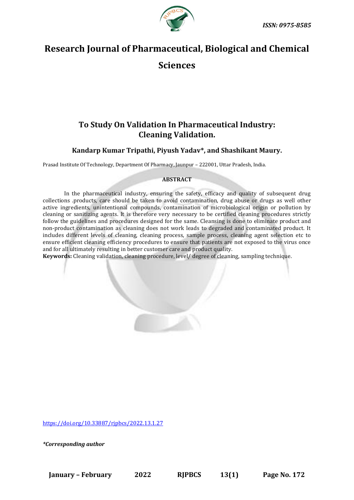

# **Research Journal of Pharmaceutical, Biological and Chemical**

**Sciences**

# **To Study On Validation In Pharmaceutical Industry: Cleaning Validation.**

**Kandarp Kumar Tripathi, Piyush Yadav\*, and Shashikant Maury.**

Prasad Institute Of Technology, Department Of Pharmacy, Jaunpur – 222001, Uttar Pradesh, India.

#### **ABSTRACT**

In the pharmaceutical industry, ensuring the safety, efficacy and quality of subsequent drug collections .products, care should be taken to avoid contamination, drug abuse or drugs as well other active ingredients, unintentional compounds, contamination of microbiological origin or pollution by cleaning or sanitizing agents. It is therefore very necessary to be certified cleaning procedures strictly follow the guidelines and procedures designed for the same. Cleansing is done to eliminate product and non-product contamination as cleaning does not work leads to degraded and contaminated product. It includes different levels of cleaning, cleaning process, sample process, cleaning agent selection etc to ensure efficient cleaning efficiency procedures to ensure that patients are not exposed to the virus once and for all ultimately resulting in better customer care and product quality.

**Keywords:** Cleaning validation, cleaning procedure, level/ degree of cleaning, sampling technique.

[https://doi.org/10.33887/rjpbcs/2022.13.1.27](https://doi.org/10.33887/rjpbcs/2022.13.1.1)

*\*Corresponding author*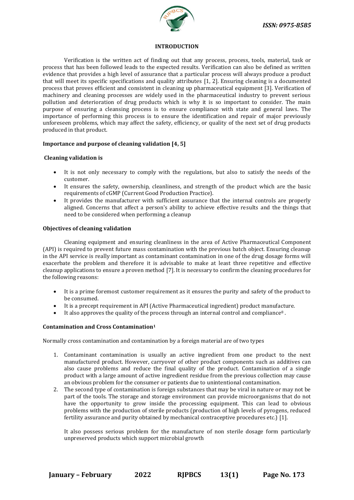

#### **INTRODUCTION**

Verification is the written act of finding out that any process, process, tools, material, task or process that has been followed leads to the expected results. Verification can also be defined as written evidence that provides a high level of assurance that a particular process will always produce a product that will meet its specific specifications and quality attributes [1, 2]. Ensuring cleaning is a documented process that proves efficient and consistent in cleaning up pharmaceutical equipment [3]. Verification of machinery and cleaning processes are widely used in the pharmaceutical industry to prevent serious pollution and deterioration of drug products which is why it is so important to consider. The main purpose of ensuring a cleansing process is to ensure compliance with state and general laws. The importance of performing this process is to ensure the identification and repair of major previously unforeseen problems, which may affect the safety, efficiency, or quality of the next set of drug products produced in that product.

# **Importance and purpose of cleaning validation [4, 5]**

# **Cleaning validation is**

- It is not only necessary to comply with the regulations, but also to satisfy the needs of the customer.
- It ensures the safety, ownership, cleanliness, and strength of the product which are the basic requirements of cGMP (Current Good Production Practice).
- It provides the manufacturer with sufficient assurance that the internal controls are properly aligned. Concerns that affect a person's ability to achieve effective results and the things that need to be considered when performing a cleanup

#### **Objectives of cleaning validation**

Cleaning equipment and ensuring cleanliness in the area of Active Pharmaceutical Component (API) is required to prevent future mass contamination with the previous batch object. Ensuring cleanup in the API service is really important as contaminant contamination in one of the drug dosage forms will exacerbate the problem and therefore it is advisable to make at least three repetitive and effective cleanup applications to ensure a proven method [7]. It is necessary to confirm the cleaning procedures for the following reasons:

- It is a prime foremost customer requirement as it ensures the purity and safety of the product to be consumed.
- It is a precept requirement in API (Active Pharmaceutical ingredient) product manufacture.
- It also approves the quality of the process through an internal control and compliance<sup>8</sup>.

# **Contamination and Cross Contamination<sup>1</sup>**

Normally cross contamination and contamination by a foreign material are of two types

- 1. Contaminant contamination is usually an active ingredient from one product to the next manufactured product. However, carryover of other product components such as additives can also cause problems and reduce the final quality of the product. Contamination of a single product with a large amount of active ingredient residue from the previous collection may cause an obvious problem for the consumer or patients due to unintentional contamination.
- 2. The second type of contamination is foreign substances that may be viral in nature or may not be part of the tools. The storage and storage environment can provide microorganisms that do not have the opportunity to grow inside the processing equipment. This can lead to obvious problems with the production of sterile products (production of high levels of pyrogens, reduced fertility assurance and purity obtained by mechanical contraceptive procedures etc.) [1].

It also possess serious problem for the manufacture of non sterile dosage form particularly unpreserved products which support microbial growth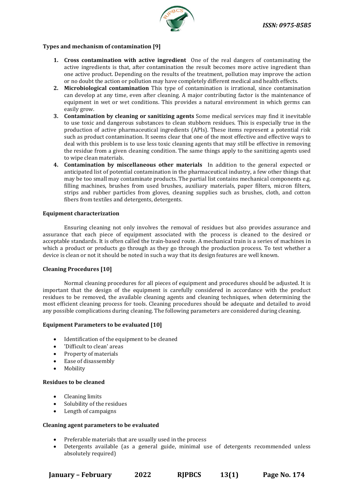

#### **Types and mechanism of contamination [9]**

- **1. Cross contamination with active ingredient** One of the real dangers of contaminating the active ingredients is that, after contamination the result becomes more active ingredient than one active product. Depending on the results of the treatment, pollution may improve the action or no doubt the action or pollution may have completely different medical and health effects.
- **2. Microbiological contamination** This type of contamination is irrational, since contamination can develop at any time, even after cleaning. A major contributing factor is the maintenance of equipment in wet or wet conditions. This provides a natural environment in which germs can easily grow.
- **3. Contamination by cleaning or sanitizing agents** Some medical services may find it inevitable to use toxic and dangerous substances to clean stubborn residues. This is especially true in the production of active pharmaceutical ingredients (APIs). These items represent a potential risk such as product contamination. It seems clear that one of the most effective and effective ways to deal with this problem is to use less toxic cleaning agents that may still be effective in removing the residue from a given cleaning condition. The same things apply to the sanitizing agents used to wipe clean materials.
- **4. Contamination by miscellaneous other materials** In addition to the general expected or anticipated list of potential contamination in the pharmaceutical industry, a few other things that may be too small may contaminate products. The partial list contains mechanical components e.g. filling machines, brushes from used brushes, auxiliary materials, paper filters, micron filters, strips and rubber particles from gloves, cleaning supplies such as brushes, cloth, and cotton fibers from textiles and detergents, detergents.

#### **Equipment characterization**

Ensuring cleaning not only involves the removal of residues but also provides assurance and assurance that each piece of equipment associated with the process is cleaned to the desired or acceptable standards. It is often called the train-based route. A mechanical train is a series of machines in which a product or products go through as they go through the production process. To test whether a device is clean or not it should be noted in such a way that its design features are well known.

# **Cleaning Procedures [10]**

Normal cleaning procedures for all pieces of equipment and procedures should be adjusted. It is important that the design of the equipment is carefully considered in accordance with the product residues to be removed, the available cleaning agents and cleaning techniques, when determining the most efficient cleaning process for tools. Cleaning procedures should be adequate and detailed to avoid any possible complications during cleaning. The following parameters are considered during cleaning.

#### **Equipment Parameters to be evaluated [10]**

- Identification of the equipment to be cleaned
- 'Difficult to clean' areas
- Property of materials
- Ease of disassembly
- Mobility

#### **Residues to be cleaned**

- Cleaning limits
- Solubility of the residues
- Length of campaigns

#### **Cleaning agent parameters to be evaluated**

- Preferable materials that are usually used in the process
- Detergents available (as a general guide, minimal use of detergents recommended unless absolutely required)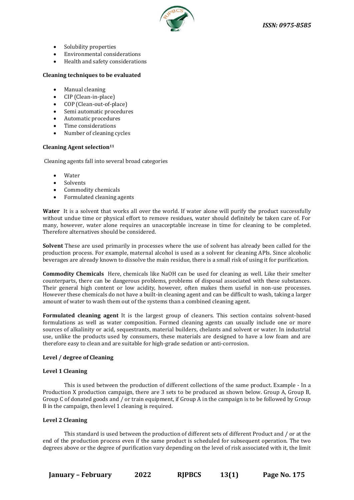

- Solubility properties
- Environmental considerations
- Health and safety considerations

#### **Cleaning techniques to be evaluated**

- Manual cleaning
- CIP (Clean-in-place)
- COP (Clean-out-of-place)
- Semi automatic procedures
- Automatic procedures
- Time considerations
- Number of cleaning cycles

#### **Cleaning Agent selection<sup>11</sup>**

Cleaning agents fall into several broad categories

- Water
- Solvents
- Commodity chemicals
- Formulated cleaning agents

Water It is a solvent that works all over the world. If water alone will purify the product successfully without undue time or physical effort to remove residues, water should definitely be taken care of. For many, however, water alone requires an unacceptable increase in time for cleaning to be completed. Therefore alternatives should be considered.

**Solvent** These are used primarily in processes where the use of solvent has already been called for the production process. For example, maternal alcohol is used as a solvent for cleaning APIs. Since alcoholic beverages are already known to dissolve the main residue, there is a small risk of using it for purification.

**Commodity Chemicals** Here, chemicals like NaOH can be used for cleaning as well. Like their smelter counterparts, there can be dangerous problems, problems of disposal associated with these substances. Their general high content or low acidity, however, often makes them useful in non-use processes. However these chemicals do not have a built-in cleaning agent and can be difficult to wash, taking a larger amount of water to wash them out of the systems than a combined cleaning agent.

**Formulated cleaning agent** It is the largest group of cleaners. This section contains solvent-based formulations as well as water composition. Formed cleaning agents can usually include one or more sources of alkalinity or acid, sequestrants, material builders, chelants and solvent or water. In industrial use, unlike the products used by consumers, these materials are designed to have a low foam and are therefore easy to clean and are suitable for high-grade sedation or anti-corrosion.

#### **Level / degree of Cleaning**

#### **Level 1 Cleaning**

This is used between the production of different collections of the same product. Example - In a Production X production campaign, there are 3 sets to be produced as shown below. Group A, Group B, Group C of donated goods and / or train equipment, if Group A in the campaign is to be followed by Group B in the campaign, then level 1 cleaning is required.

#### **Level 2 Cleaning**

This standard is used between the production of different sets of different Product and / or at the end of the production process even if the same product is scheduled for subsequent operation. The two degrees above or the degree of purification vary depending on the level of risk associated with it, the limit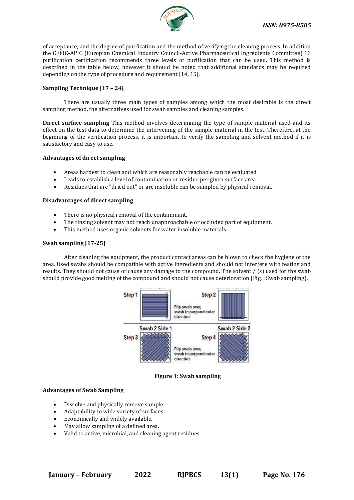

of acceptance, and the degree of purification and the method of verifying the cleaning process. In addition the CEFIC-APIC (Europian Chemical Industry Council-Active Pharmaceutical Ingredients Committee) 13 purification certification recommends three levels of purification that can be used. This method is described in the table below, however it should be noted that additional standards may be required depending on the type of procedure and requirement [14, 15].

#### **Sampling Technique [17 – 24]**

There are usually three main types of samples among which the most desirable is the direct sampling method, the alternatives used for swab samples and cleaning samples.

**Direct surface sampling** This method involves determining the type of sample material used and its effect on the test data to determine the intervening of the sample material in the test. Therefore, at the beginning of the verification process, it is important to verify the sampling and solvent method if it is satisfactory and easy to use.

#### **Advantages of direct sampling**

- Areas hardest to clean and which are reasonably reachable can be evaluated
- Leads to establish a level of contamination or residue per given surface area.
- Residues that are "dried out" or are insoluble can be sampled by physical removal.

#### **Disadvantages of direct sampling**

- There is no physical removal of the contaminant.
- The rinsing solvent may not reach unapproachable or occluded part of equipment.
- This method uses organic solvents for water insoluble materials.

#### **Swab sampling [17-25]**

After cleaning the equipment, the product contact areas can be blown to check the hygiene of the area. Used swabs should be compatible with active ingredients and should not interfere with testing and results. They should not cause or cause any damage to the compound. The solvent / (s) used for the swab should provide good melting of the compound and should not cause deterioration (Fig. : Swab sampling).



**Figure 1: Swab sampling**

#### **Advantages of Swab Sampling**

- Dissolve and physically remove sample.
- Adaptability to wide variety of surfaces.
- Economically and widely available.
- May allow sampling of a defined area.
- Valid to active, microbial, and cleaning agent residues.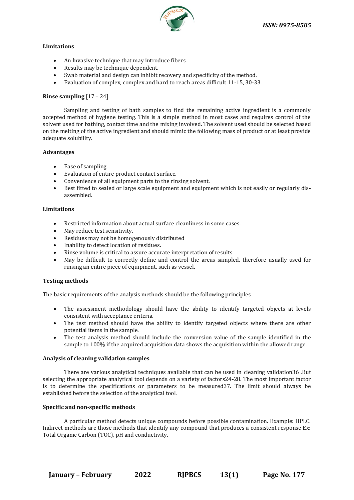

#### **Limitations**

- An Invasive technique that may introduce fibers.
- Results may be technique dependent.
- Swab material and design can inhibit recovery and specificity of the method.
- Evaluation of complex, complex and hard to reach areas difficult 11-15, 30-33.

#### **Rinse sampling** [17 – 24]

Sampling and testing of bath samples to find the remaining active ingredient is a commonly accepted method of hygiene testing. This is a simple method in most cases and requires control of the solvent used for bathing, contact time and the mixing involved. The solvent used should be selected based on the melting of the active ingredient and should mimic the following mass of product or at least provide adequate solubility.

#### **Advantages**

- Ease of sampling.
- Evaluation of entire product contact surface.
- Convenience of all equipment parts to the rinsing solvent.
- Best fitted to sealed or large scale equipment and equipment which is not easily or regularly disassembled.

#### **Limitations**

- Restricted information about actual surface cleanliness in some cases.
- May reduce test sensitivity.
- Residues may not be homogenously distributed
- Inability to detect location of residues.
- Rinse volume is critical to assure accurate interpretation of results.
- May be difficult to correctly define and control the areas sampled, therefore usually used for rinsing an entire piece of equipment, such as vessel.

#### **Testing methods**

The basic requirements of the analysis methods should be the following principles

- The assessment methodology should have the ability to identify targeted objects at levels consistent with acceptance criteria.
- The test method should have the ability to identify targeted objects where there are other potential items in the sample.
- The test analysis method should include the conversion value of the sample identified in the sample to 100% if the acquired acquisition data shows the acquisition within the allowed range.

#### **Analysis of cleaning validation samples**

There are various analytical techniques available that can be used in cleaning validation36 .But selecting the appropriate analytical tool depends on a variety of factors24-28. The most important factor is to determine the specifications or parameters to be measured37. The limit should always be established before the selection of the analytical tool.

#### **Specific and non-specific methods**

A particular method detects unique compounds before possible contamination. Example: HPLC. Indirect methods are those methods that identify any compound that produces a consistent response Ex: Total Organic Carbon (TOC), pH and conductivity.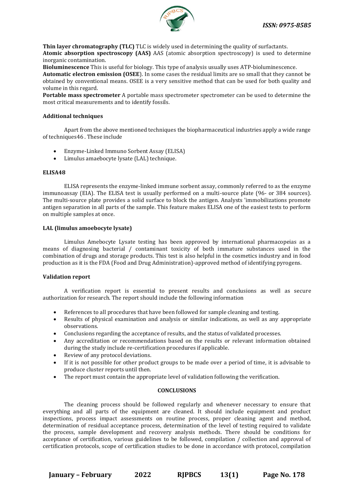

**Thin layer chromatography (TLC)** TLC is widely used in determining the quality of surfactants. **Atomic absorption spectroscopy (AAS)** AAS (atomic absorption spectroscopy) is used to determine inorganic contamination.

**Bioluminescence** This is useful for biology. This type of analysis usually uses ATP-bioluminescence. **Automatic electron emission (OSEE**). In some cases the residual limits are so small that they cannot be obtained by conventional means. OSEE is a very sensitive method that can be used for both quality and volume in this regard.

**Portable mass spectrometer** A portable mass spectrometer spectrometer can be used to determine the most critical measurements and to identify fossils.

#### **Additional techniques**

Apart from the above mentioned techniques the biopharmaceutical industries apply a wide range of techniques46 . These include

- Enzyme-Linked Immuno Sorbent Assay (ELISA)
- Limulus amaebocyte lysate (LAL) technique.

#### **ELISA48**

ELISA represents the enzyme-linked immune sorbent assay, commonly referred to as the enzyme immunoassay (EIA). The ELISA test is usually performed on a multi-source plate (96- or 384 sources). The multi-source plate provides a solid surface to block the antigen. Analysts 'immobilizations promote antigen separation in all parts of the sample. This feature makes ELISA one of the easiest tests to perform on multiple samples at once.

#### **LAL (limulus amoebocyte lysate)**

Limulus Amebocyte Lysate testing has been approved by international pharmacopeias as a means of diagnosing bacterial / contaminant toxicity of both immature substances used in the combination of drugs and storage products. This test is also helpful in the cosmetics industry and in food production as it is the FDA (Food and Drug Administration)-approved method of identifying pyrogens.

#### **Validation report**

A verification report is essential to present results and conclusions as well as secure authorization for research. The report should include the following information

- References to all procedures that have been followed for sample cleaning and testing.
- Results of physical examination and analysis or similar indications, as well as any appropriate observations.
- Conclusions regarding the acceptance of results, and the status of validated processes.
- Any accreditation or recommendations based on the results or relevant information obtained during the study include re-certification procedures if applicable.
- Review of any protocol deviations.
- If it is not possible for other product groups to be made over a period of time, it is advisable to produce cluster reports until then.
- The report must contain the appropriate level of validation following the verification.

#### **CONCLUSIONS**

The cleaning process should be followed regularly and whenever necessary to ensure that everything and all parts of the equipment are cleaned. It should include equipment and product inspections, process impact assessments on routine process, proper cleaning agent and method, determination of residual acceptance process, determination of the level of testing required to validate the process, sample development and recovery analysis methods. There should be conditions for acceptance of certification, various guidelines to be followed, compilation / collection and approval of certification protocols, scope of certification studies to be done in accordance with protocol, compilation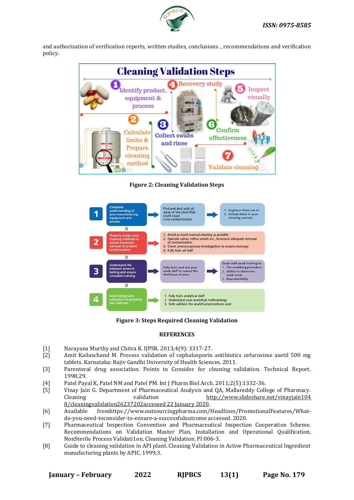

and authorization of verification reports, written studies, conclusions. , recommendations and verification policy.



**Figure 2: Cleaning Validation Steps**



**Figure 3: Steps Required Cleaning Validation** 

# **REFERENCES**

- [1] Narayana Murthy and Chitra K. IJPSR. 2013;4(9): 3317-27.
- [2] Amit Kailaschand M. Process validation of cephalosporin antibiotics cefuroxime axetil 500 mg tablets. Karnataka: Rajiv Gandhi University of Health Sciences. 2011.
- [3] Parenteral drug association. Points to Consider for cleaning validation. Technical Report. 1998;29.
- [4] Patel Payal K, Patel NM and Patel PM. Int J Pharm Biol Arch. 2011;2(5):1332-36.
- [5] Vinay Jain G. Department of Pharmaceutical Analysis and QA, Mallareddy College of Pharmacy. Cleaning validation [http://www.slideshare.net/vinayjain104](http://www.slideshare.net/vinayjain104%208/cleaningvalidation26237202accessed%2022%20January%202020)  [8/cleaningvalidation26237202accessed 22 January 2020.](http://www.slideshare.net/vinayjain104%208/cleaningvalidation26237202accessed%2022%20January%202020)
- [6] Available fromhttps://www.outsourcingpharma.com/Headlines/PromotionalFeatures/Whatdo-you-need-toconsider-to-ensure-a-successfuloutcome accessed. 2020.
- [7] Pharmaceutical Inspection Convention and Pharmaceutical Inspection Cooperation Scheme. Recommendations on Validation Master Plan, Installation and Operational Qualification, NonSterile Process Validati1on, Cleaning Validation. PI 006-3.
- [8] Guide to cleaning validation in API plant. Cleaning Validation in Active Pharmaceutical Ingredient manufacturing plants by APIC. 1999;3.

**January – February 2022 RJPBCS 13(1) Page No. 179**